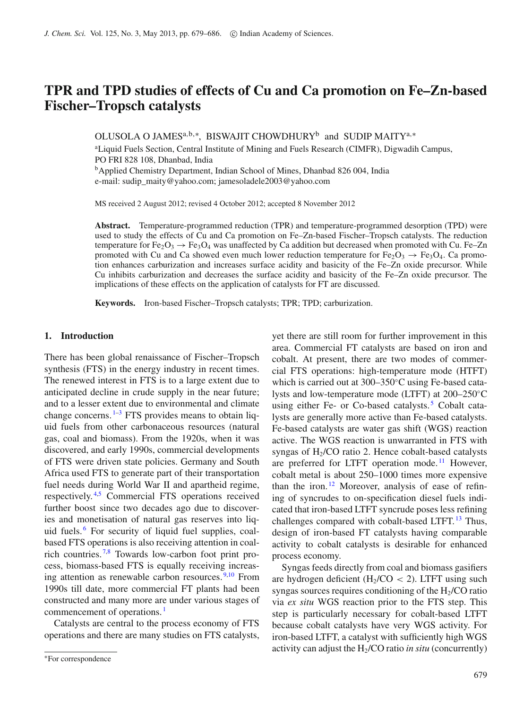# **TPR and TPD studies of effects of Cu and Ca promotion on Fe–Zn-based Fischer–Tropsch catalysts**

OLUSOLA O JAMES<sup>a,b,∗</sup>, BISWAJIT CHOWDHURY<sup>b</sup> and SUDIP MAITY<sup>a,∗</sup>

<sup>a</sup>Liquid Fuels Section, Central Institute of Mining and Fuels Research (CIMFR), Digwadih Campus, PO FRI 828 108, Dhanbad, India

<sup>b</sup>Applied Chemistry Department, Indian School of Mines, Dhanbad 826 004, India

e-mail: sudip\_maity@yahoo.com; jamesoladele2003@yahoo.com

MS received 2 August 2012; revised 4 October 2012; accepted 8 November 2012

**Abstract.** Temperature-programmed reduction (TPR) and temperature-programmed desorption (TPD) were used to study the effects of Cu and Ca promotion on Fe–Zn-based Fischer–Tropsch catalysts. The reduction temperature for Fe<sub>2</sub>O<sub>3</sub>  $\rightarrow$  Fe<sub>3</sub>O<sub>4</sub> was unaffected by Ca addition but decreased when promoted with Cu. Fe–Zn promoted with Cu and Ca showed even much lower reduction temperature for Fe<sub>2</sub>O<sub>3</sub>  $\rightarrow$  Fe<sub>3</sub>O<sub>4</sub>. Ca promotion enhances carburization and increases surface acidity and basicity of the Fe–Zn oxide precursor. While Cu inhibits carburization and decreases the surface acidity and basicity of the Fe–Zn oxide precursor. The implications of these effects on the application of catalysts for FT are discussed.

**Keywords.** Iron-based Fischer–Tropsch catalysts; TPR; TPD; carburization.

# **1. Introduction**

There has been global renaissance of Fischer–Tropsch synthesis (FTS) in the energy industry in recent times. The renewed interest in FTS is to a large extent due to anticipated decline in crude supply in the near future; and to a lesser extent due to environmental and climate change concerns.  $1-3$  $1-3$  FTS provides means to obtain liquid fuels from other carbonaceous resources (natural gas, coal and biomass). From the 1920s, when it was discovered, and early 1990s, commercial developments of FTS were driven state policies. Germany and South Africa used FTS to generate part of their transportation fuel needs during World War II and apartheid regime, respectively. [4](#page-6-2)[,5](#page-6-3) Commercial FTS operations received further boost since two decades ago due to discoveries and monetisation of natural gas reserves into liquid fuels. [6](#page-6-4) For security of liquid fuel supplies, coalbased FTS operations is also receiving attention in coal-rich countries.<sup>[7](#page-6-5)[,8](#page-6-6)</sup> Towards low-carbon foot print process, biomass-based FTS is equally receiving increas-ing attention as renewable carbon resources.<sup>[9](#page-7-0)[,10](#page-7-1)</sup> From 1990s till date, more commercial FT plants had been constructed and many more are under various stages of commencement of operations.<sup>[1](#page-6-0)</sup>

Catalysts are central to the process economy of FTS operations and there are many studies on FTS catalysts, yet there are still room for further improvement in this area. Commercial FT catalysts are based on iron and cobalt. At present, there are two modes of commercial FTS operations: high-temperature mode (HTFT) which is carried out at 300–350◦C using Fe-based catalysts and low-temperature mode (LTFT) at 200–250◦C using either Fe- or Co-based catalysts.<sup>[5](#page-6-3)</sup> Cobalt catalysts are generally more active than Fe-based catalysts. Fe-based catalysts are water gas shift (WGS) reaction active. The WGS reaction is unwarranted in FTS with syngas of  $H<sub>2</sub>/CO$  ratio 2. Hence cobalt-based catalysts are preferred for LTFT operation mode.<sup>[11](#page-7-2)</sup> However, cobalt metal is about 250–1000 times more expensive than the iron.<sup>[12](#page-7-3)</sup> Moreover, analysis of ease of refining of syncrudes to on-specification diesel fuels indicated that iron-based LTFT syncrude poses less refining challenges compared with cobalt-based LTFT.<sup>[13](#page-7-4)</sup> Thus, design of iron-based FT catalysts having comparable activity to cobalt catalysts is desirable for enhanced process economy.

Syngas feeds directly from coal and biomass gasifiers are hydrogen deficient  $(H_2/CO < 2)$ . LTFT using such syngas sources requires conditioning of the  $H<sub>2</sub>/CO$  ratio via *ex situ* WGS reaction prior to the FTS step. This step is particularly necessary for cobalt-based LTFT because cobalt catalysts have very WGS activity. For iron-based LTFT, a catalyst with sufficiently high WGS activity can adjust the H2/CO ratio *in situ* (concurrently)

<sup>∗</sup>For correspondence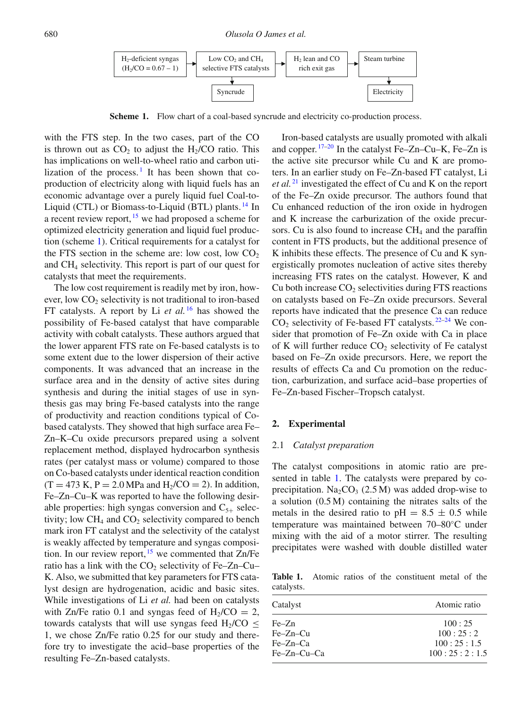<span id="page-1-0"></span>

**Scheme 1.** Flow chart of a coal-based syncrude and electricity co-production process.

with the FTS step. In the two cases, part of the CO is thrown out as  $CO<sub>2</sub>$  to adjust the H<sub>2</sub>/CO ratio. This has implications on well-to-wheel ratio and carbon utilization of the process. I It has been shown that coproduction of electricity along with liquid fuels has an economic advantage over a purely liquid fuel Coal-to-Liquid (CTL) or Biomass-to-Liquid (BTL) plants.<sup>[14](#page-7-5)</sup> In a recent review report,  $15$  we had proposed a scheme for optimized electricity generation and liquid fuel production (scheme [1\)](#page-1-0). Critical requirements for a catalyst for the FTS section in the scheme are: low cost, low  $CO<sub>2</sub>$ and CH4 selectivity. This report is part of our quest for catalysts that meet the requirements.

The low cost requirement is readily met by iron, however, low CO<sub>2</sub> selectivity is not traditional to iron-based FT catalysts. A report by Li *et al.* [16](#page-7-7) has showed the possibility of Fe-based catalyst that have comparable activity with cobalt catalysts. These authors argued that the lower apparent FTS rate on Fe-based catalysts is to some extent due to the lower dispersion of their active components. It was advanced that an increase in the surface area and in the density of active sites during synthesis and during the initial stages of use in synthesis gas may bring Fe-based catalysts into the range of productivity and reaction conditions typical of Cobased catalysts. They showed that high surface area Fe– Zn–K–Cu oxide precursors prepared using a solvent replacement method, displayed hydrocarbon synthesis rates (per catalyst mass or volume) compared to those on Co-based catalysts under identical reaction condition  $(T = 473 \text{ K}, P = 2.0 \text{ MPa}$  and  $H_2/CO = 2$ ). In addition, Fe–Zn–Cu–K was reported to have the following desirable properties: high syngas conversion and  $C_{5+}$  selectivity; low  $CH_4$  and  $CO_2$  selectivity compared to bench mark iron FT catalyst and the selectivity of the catalyst is weakly affected by temperature and syngas composition. In our review report,  $15$  we commented that Zn/Fe ratio has a link with the  $CO<sub>2</sub>$  selectivity of Fe–Zn–Cu– K. Also, we submitted that key parameters for FTS catalyst design are hydrogenation, acidic and basic sites. While investigations of Li *et al.* had been on catalysts with Zn/Fe ratio 0.1 and syngas feed of  $H_2/CO = 2$ , towards catalysts that will use syngas feed H<sub>2</sub>/CO  $\leq$ 1, we chose Zn/Fe ratio 0.25 for our study and therefore try to investigate the acid–base properties of the resulting Fe–Zn-based catalysts.

Iron-based catalysts are usually promoted with alkali and copper. [17](#page-7-8)[–20](#page-7-9) In the catalyst Fe–Zn–Cu–K, Fe–Zn is the active site precursor while Cu and K are promoters. In an earlier study on Fe–Zn-based FT catalyst, Li *et al.* [21](#page-7-10) investigated the effect of Cu and K on the report of the Fe–Zn oxide precursor. The authors found that Cu enhanced reduction of the iron oxide in hydrogen and K increase the carburization of the oxide precursors. Cu is also found to increase  $CH<sub>4</sub>$  and the paraffin content in FTS products, but the additional presence of K inhibits these effects. The presence of Cu and K synergistically promotes nucleation of active sites thereby increasing FTS rates on the catalyst. However, K and Cu both increase  $CO<sub>2</sub>$  selectivities during FTS reactions on catalysts based on Fe–Zn oxide precursors. Several reports have indicated that the presence Ca can reduce  $CO<sub>2</sub>$  selectivity of Fe-based FT catalysts.  $22-24$  $22-24$  We consider that promotion of Fe–Zn oxide with Ca in place of K will further reduce  $CO<sub>2</sub>$  selectivity of Fe catalyst based on Fe–Zn oxide precursors. Here, we report the results of effects Ca and Cu promotion on the reduction, carburization, and surface acid–base properties of Fe–Zn-based Fischer–Tropsch catalyst.

# **2. Experimental**

#### 2.1 *Catalyst preparation*

The catalyst compositions in atomic ratio are presented in table [1.](#page-1-1) The catalysts were prepared by coprecipitation.  $Na<sub>2</sub>CO<sub>3</sub>$  (2.5 M) was added drop-wise to a solution (0.5 M) containing the nitrates salts of the metals in the desired ratio to pH =  $8.5 \pm 0.5$  while temperature was maintained between 70–80◦C under mixing with the aid of a motor stirrer. The resulting precipitates were washed with double distilled water

<span id="page-1-1"></span>**Table 1.** Atomic ratios of the constituent metal of the catalysts.

| Catalyst      | Atomic ratio |
|---------------|--------------|
| $Fe-Zn$       | 100:25       |
| $Fe-Zn-Cu$    | 100:25:2     |
| $Fe-Zn-Ca$    | 100:25:1.5   |
| $Fe-Zn-Cu-Ca$ | 100:25:2:1.5 |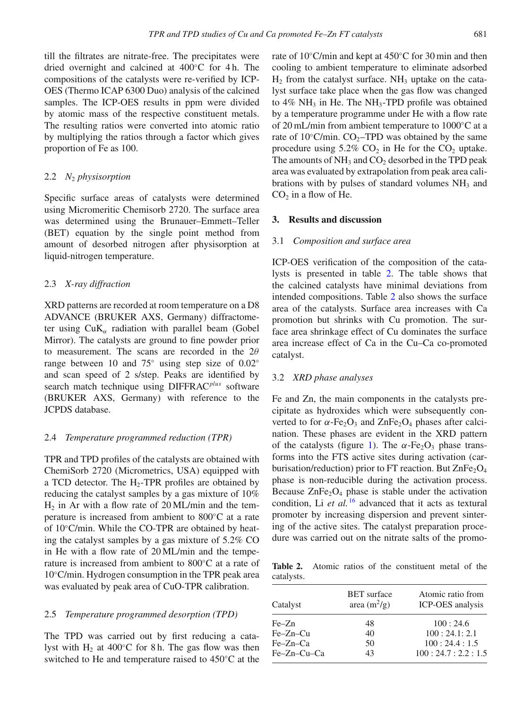till the filtrates are nitrate-free. The precipitates were dried overnight and calcined at 400◦C for 4 h. The compositions of the catalysts were re-verified by ICP-OES (Thermo ICAP 6300 Duo) analysis of the calcined samples. The ICP-OES results in ppm were divided by atomic mass of the respective constituent metals. The resulting ratios were converted into atomic ratio by multiplying the ratios through a factor which gives proportion of Fe as 100.

#### 2.2 *N*<sup>2</sup> *physisorption*

Specific surface areas of catalysts were determined using Micromeritic Chemisorb 2720. The surface area was determined using the Brunauer–Emmett–Teller (BET) equation by the single point method from amount of desorbed nitrogen after physisorption at liquid-nitrogen temperature.

### 2.3 *X-ray diffraction*

XRD patterns are recorded at room temperature on a D8 ADVANCE (BRUKER AXS, Germany) diffractometer using  $CuK_{\alpha}$  radiation with parallel beam (Gobel Mirror). The catalysts are ground to fine powder prior to measurement. The scans are recorded in the  $2\theta$ range between 10 and 75◦ using step size of 0.02◦ and scan speed of 2 s/step. Peaks are identified by search match technique using DIFFRAC*plus* software (BRUKER AXS, Germany) with reference to the JCPDS database.

#### 2.4 *Temperature programmed reduction (TPR)*

TPR and TPD profiles of the catalysts are obtained with ChemiSorb 2720 (Micrometrics, USA) equipped with a TCD detector. The  $H_2$ -TPR profiles are obtained by reducing the catalyst samples by a gas mixture of 10%  $H_2$  in Ar with a flow rate of 20 ML/min and the temperature is increased from ambient to 800◦C at a rate of 10◦C/min. While the CO-TPR are obtained by heating the catalyst samples by a gas mixture of 5.2% CO in He with a flow rate of 20 ML/min and the temperature is increased from ambient to 800◦C at a rate of 10◦C/min. Hydrogen consumption in the TPR peak area was evaluated by peak area of CuO-TPR calibration.

#### 2.5 *Temperature programmed desorption (TPD)*

The TPD was carried out by first reducing a catalyst with  $H_2$  at 400 $°C$  for 8 h. The gas flow was then switched to He and temperature raised to 450◦C at the rate of 10◦C/min and kept at 450◦C for 30 min and then cooling to ambient temperature to eliminate adsorbed  $H_2$  from the catalyst surface. NH<sub>3</sub> uptake on the catalyst surface take place when the gas flow was changed to  $4\%$  NH<sub>3</sub> in He. The NH<sub>3</sub>-TPD profile was obtained by a temperature programme under He with a flow rate of 20 mL/min from ambient temperature to 1000◦C at a rate of 10 $\degree$ C/min. CO<sub>2</sub>–TPD was obtained by the same procedure using  $5.2\%$  CO<sub>2</sub> in He for the CO<sub>2</sub> uptake. The amounts of  $NH_3$  and  $CO_2$  desorbed in the TPD peak area was evaluated by extrapolation from peak area calibrations with by pulses of standard volumes  $NH<sub>3</sub>$  and  $CO<sub>2</sub>$  in a flow of He.

# **3. Results and discussion**

# 3.1 *Composition and surface area*

ICP-OES verification of the composition of the catalysts is presented in table [2.](#page-2-0) The table shows that the calcined catalysts have minimal deviations from intended compositions. Table [2](#page-2-0) also shows the surface area of the catalysts. Surface area increases with Ca promotion but shrinks with Cu promotion. The surface area shrinkage effect of Cu dominates the surface area increase effect of Ca in the Cu–Ca co-promoted catalyst.

# <span id="page-2-1"></span>3.2 *XRD phase analyses*

Fe and Zn, the main components in the catalysts precipitate as hydroxides which were subsequently converted to for  $\alpha$ -Fe<sub>2</sub>O<sub>3</sub> and ZnFe<sub>2</sub>O<sub>4</sub> phases after calcination. These phases are evident in the XRD pattern of the catalysts (figure [1\)](#page-3-0). The  $\alpha$ -Fe<sub>2</sub>O<sub>3</sub> phase transforms into the FTS active sites during activation (carburisation/reduction) prior to FT reaction. But  $\text{ZnFe}_2\text{O}_4$ phase is non-reducible during the activation process. Because  $ZnFe<sub>2</sub>O<sub>4</sub>$  phase is stable under the activation condition, Li *et al.* <sup>[16](#page-7-7)</sup> advanced that it acts as textural promoter by increasing dispersion and prevent sintering of the active sites. The catalyst preparation procedure was carried out on the nitrate salts of the promo-

<span id="page-2-0"></span>**Table 2.** Atomic ratios of the constituent metal of the catalysts.

| Catalyst    | <b>BET</b> surface<br>area $(m^2/g)$ | Atomic ratio from<br>ICP-OES analysis |
|-------------|--------------------------------------|---------------------------------------|
| $Fe-Zn$     | 48                                   | 100:24.6                              |
| $Fe-Zn-Cu$  | 40                                   | 100:24.1:2.1                          |
| Fe-Zn-Ca    | 50                                   | 100:24.4:1.5                          |
| Fe-Zn-Cu-Ca | 43                                   | 100:24.7:2.2:1.5                      |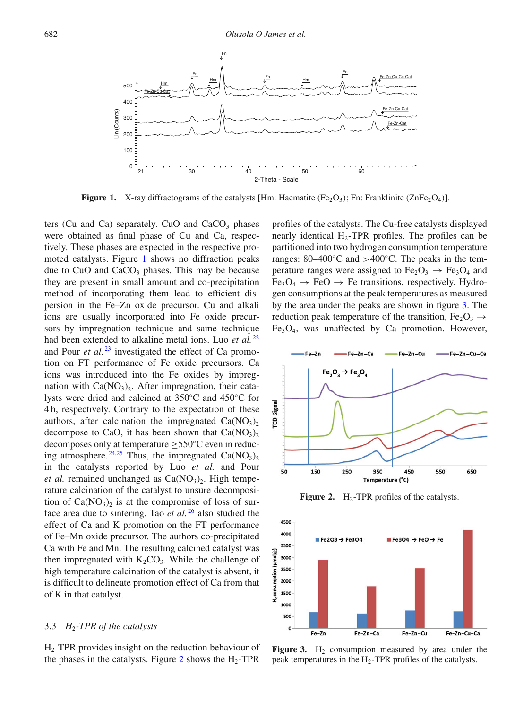<span id="page-3-0"></span>

**Figure 1.** X-ray diffractograms of the catalysts [Hm: Haematite (Fe<sub>2</sub>O<sub>3</sub>); Fn: Franklinite (ZnFe<sub>2</sub>O<sub>4</sub>)].

ters (Cu and Ca) separately. CuO and  $CaCO<sub>3</sub>$  phases were obtained as final phase of Cu and Ca, respectively. These phases are expected in the respective promoted catalysts. Figure [1](#page-3-0) shows no diffraction peaks due to  $CuO$  and  $CaCO<sub>3</sub>$  phases. This may be because they are present in small amount and co-precipitation method of incorporating them lead to efficient dispersion in the Fe–Zn oxide precursor. Cu and alkali ions are usually incorporated into Fe oxide precursors by impregnation technique and same technique had been extended to alkaline metal ions. Luo *et al.* <sup>[22](#page-7-11)</sup> and Pour *et al.* <sup>[23](#page-7-13)</sup> investigated the effect of Ca promotion on FT performance of Fe oxide precursors. Ca ions was introduced into the Fe oxides by impregnation with  $Ca(NO<sub>3</sub>)<sub>2</sub>$ . After impregnation, their catalysts were dried and calcined at 350◦C and 450◦C for 4 h, respectively. Contrary to the expectation of these authors, after calcination the impregnated  $Ca(NO<sub>3</sub>)<sub>2</sub>$ decompose to CaO, it has been shown that  $Ca(NO<sub>3</sub>)<sub>2</sub>$ decomposes only at temperature  $\geq$ 550°C even in reduc-ing atmosphere.<sup>[24](#page-7-12)[,25](#page-7-14)</sup> Thus, the impregnated  $Ca(NO<sub>3</sub>)<sub>2</sub>$ in the catalysts reported by Luo *et al.* and Pour *et al.* remained unchanged as  $Ca(NO<sub>3</sub>)<sub>2</sub>$ . High temperature calcination of the catalyst to unsure decomposition of  $Ca(NO<sub>3</sub>)<sub>2</sub>$  is at the compromise of loss of surface area due to sintering. Tao *et al.* <sup>[26](#page-7-15)</sup> also studied the effect of Ca and K promotion on the FT performance of Fe–Mn oxide precursor. The authors co-precipitated Ca with Fe and Mn. The resulting calcined catalyst was then impregnated with  $K_2CO_3$ . While the challenge of high temperature calcination of the catalyst is absent, it is difficult to delineate promotion effect of Ca from that of K in that catalyst.

# 3.3 *H*2*-TPR of the catalysts*

H2-TPR provides insight on the reduction behaviour of the phases in the catalysts. Figure [2](#page-3-1) shows the  $H_2$ -TPR profiles of the catalysts. The Cu-free catalysts displayed nearly identical  $H_2$ -TPR profiles. The profiles can be partitioned into two hydrogen consumption temperature ranges:  $80-400\degree C$  and  $>400\degree C$ . The peaks in the temperature ranges were assigned to  $Fe<sub>2</sub>O<sub>3</sub> \rightarrow Fe<sub>3</sub>O<sub>4</sub>$  and  $Fe<sub>3</sub>O<sub>4</sub> \rightarrow FeO \rightarrow Fe$  transitions, respectively. Hydrogen consumptions at the peak temperatures as measured by the area under the peaks are shown in figure [3.](#page-3-2) The reduction peak temperature of the transition,  $Fe<sub>2</sub>O<sub>3</sub> \rightarrow$  $Fe<sub>3</sub>O<sub>4</sub>$ , was unaffected by Ca promotion. However,

<span id="page-3-1"></span>

**Figure 2.**  $H_2$ -TPR profiles of the catalysts.

<span id="page-3-2"></span>

**Figure 3.** H<sub>2</sub> consumption measured by area under the peak temperatures in the  $H_2$ -TPR profiles of the catalysts.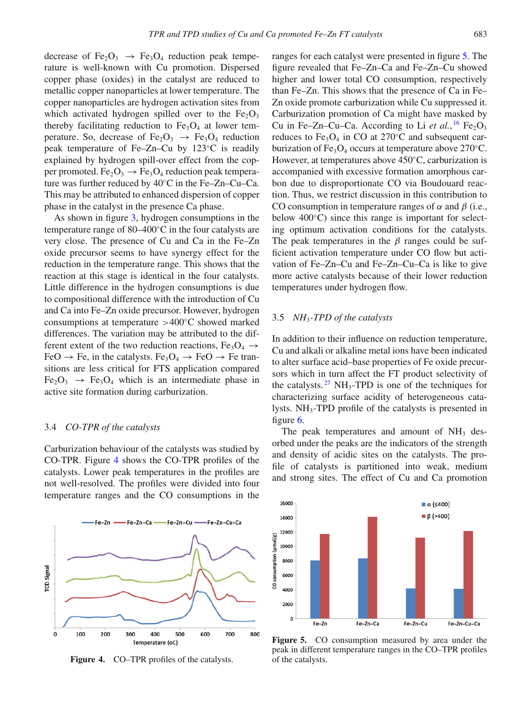decrease of Fe<sub>2</sub>O<sub>3</sub>  $\rightarrow$  Fe<sub>3</sub>O<sub>4</sub> reduction peak temperature is well-known with Cu promotion. Dispersed copper phase (oxides) in the catalyst are reduced to metallic copper nanoparticles at lower temperature. The copper nanoparticles are hydrogen activation sites from which activated hydrogen spilled over to the  $Fe<sub>2</sub>O<sub>3</sub>$ thereby facilitating reduction to  $Fe<sub>3</sub>O<sub>4</sub>$  at lower temperature. So, decrease of  $Fe<sub>2</sub>O<sub>3</sub> \rightarrow Fe<sub>3</sub>O<sub>4</sub>$  reduction peak temperature of Fe–Zn–Cu by 123◦C is readily explained by hydrogen spill-over effect from the copper promoted. Fe<sub>2</sub>O<sub>3</sub>  $\rightarrow$  Fe<sub>3</sub>O<sub>4</sub> reduction peak temperature was further reduced by 40◦C in the Fe–Zn–Cu–Ca. This may be attributed to enhanced dispersion of copper phase in the catalyst in the presence Ca phase.

As shown in figure [3,](#page-3-2) hydrogen consumptions in the temperature range of 80–400◦C in the four catalysts are very close. The presence of Cu and Ca in the Fe–Zn oxide precursor seems to have synergy effect for the reduction in the temperature range. This shows that the reaction at this stage is identical in the four catalysts. Little difference in the hydrogen consumptions is due to compositional difference with the introduction of Cu and Ca into Fe–Zn oxide precursor. However, hydrogen consumptions at temperature >400◦C showed marked differences. The variation may be attributed to the different extent of the two reduction reactions,  $Fe<sub>3</sub>O<sub>4</sub> \rightarrow$ FeO  $\rightarrow$  Fe, in the catalysts. Fe<sub>3</sub>O<sub>4</sub>  $\rightarrow$  FeO  $\rightarrow$  Fe transitions are less critical for FTS application compared  $Fe<sub>2</sub>O<sub>3</sub> \rightarrow Fe<sub>3</sub>O<sub>4</sub>$  which is an intermediate phase in active site formation during carburization.

# 3.4 *CO-TPR of the catalysts*

Carburization behaviour of the catalysts was studied by CO-TPR. Figure [4](#page-4-0) shows the CO-TPR profiles of the catalysts. Lower peak temperatures in the profiles are not well-resolved. The profiles were divided into four temperature ranges and the CO consumptions in the

<span id="page-4-0"></span>

**Figure 4.** CO–TPR profiles of the catalysts.

ranges for each catalyst were presented in figure [5.](#page-4-1) The figure revealed that Fe–Zn–Ca and Fe–Zn–Cu showed higher and lower total CO consumption, respectively than Fe–Zn. This shows that the presence of Ca in Fe– Zn oxide promote carburization while Cu suppressed it. Carburization promotion of Ca might have masked by Cu in Fe–Zn–Cu–Ca. According to Li  $et$   $al.$ <sup>[16](#page-7-7)</sup> Fe<sub>2</sub>O<sub>3</sub> reduces to  $Fe<sub>3</sub>O<sub>4</sub>$  in CO at 270 $°C$  and subsequent carburization of Fe<sub>3</sub>O<sub>4</sub> occurs at temperature above 270 $^{\circ}$ C. However, at temperatures above 450◦C, carburization is accompanied with excessive formation amorphous carbon due to disproportionate CO via Boudouard reaction. Thus, we restrict discussion in this contribution to CO consumption in temperature ranges of  $\alpha$  and  $\beta$  (i.e., below 400◦C) since this range is important for selecting optimum activation conditions for the catalysts. The peak temperatures in the  $\beta$  ranges could be sufficient activation temperature under CO flow but activation of Fe–Zn–Cu and Fe–Zn–Cu–Ca is like to give more active catalysts because of their lower reduction temperatures under hydrogen flow.

# <span id="page-4-2"></span>3.5 *NH*3*-TPD of the catalysts*

In addition to their influence on reduction temperature, Cu and alkali or alkaline metal ions have been indicated to alter surface acid–base properties of Fe oxide precursors which in turn affect the FT product selectivity of the catalysts.<sup>[27](#page-7-16)</sup> NH<sub>3</sub>-TPD is one of the techniques for characterizing surface acidity of heterogeneous catalysts. NH3-TPD profile of the catalysts is presented in figure [6.](#page-5-0)

The peak temperatures and amount of  $NH<sub>3</sub>$  desorbed under the peaks are the indicators of the strength and density of acidic sites on the catalysts. The profile of catalysts is partitioned into weak, medium and strong sites. The effect of Cu and Ca promotion

<span id="page-4-1"></span>

**Figure 5.** CO consumption measured by area under the peak in different temperature ranges in the CO–TPR profiles of the catalysts.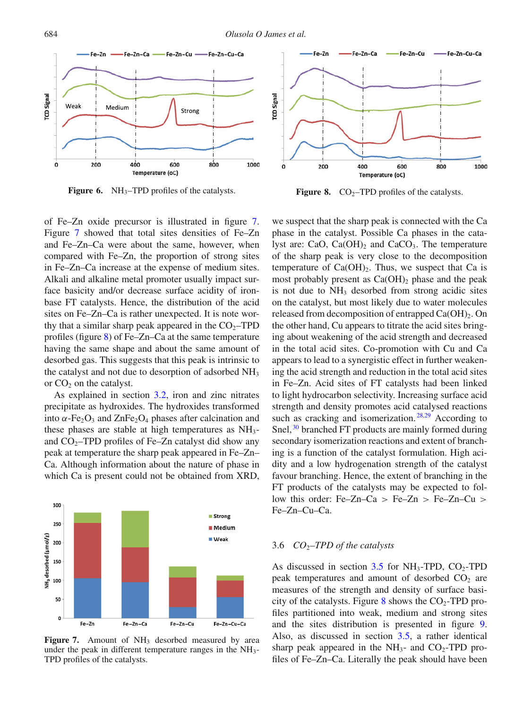<span id="page-5-0"></span>

**Figure 6.** NH<sub>3</sub>–TPD profiles of the catalysts.

of Fe–Zn oxide precursor is illustrated in figure [7.](#page-5-1) Figure [7](#page-5-1) showed that total sites densities of Fe–Zn and Fe–Zn–Ca were about the same, however, when compared with Fe–Zn, the proportion of strong sites in Fe–Zn–Ca increase at the expense of medium sites. Alkali and alkaline metal promoter usually impact surface basicity and/or decrease surface acidity of ironbase FT catalysts. Hence, the distribution of the acid sites on Fe–Zn–Ca is rather unexpected. It is note worthy that a similar sharp peak appeared in the  $CO<sub>2</sub>$ –TPD profiles (figure [8\)](#page-5-2) of Fe–Zn–Ca at the same temperature having the same shape and about the same amount of desorbed gas. This suggests that this peak is intrinsic to the catalyst and not due to desorption of adsorbed NH<sub>3</sub> or  $CO<sub>2</sub>$  on the catalyst.

As explained in section [3.2,](#page-2-1) iron and zinc nitrates precipitate as hydroxides. The hydroxides transformed into  $\alpha$ -Fe<sub>2</sub>O<sub>3</sub> and ZnFe<sub>2</sub>O<sub>4</sub> phases after calcination and these phases are stable at high temperatures as  $NH_3$ and  $CO<sub>2</sub>$ –TPD profiles of Fe–Zn catalyst did show any peak at temperature the sharp peak appeared in Fe–Zn– Ca. Although information about the nature of phase in which Ca is present could not be obtained from XRD,

<span id="page-5-1"></span>

**Figure 7.** Amount of NH<sub>3</sub> desorbed measured by area under the peak in different temperature ranges in the  $NH_3$ -TPD profiles of the catalysts.

<span id="page-5-2"></span>

**Figure 8.**  $CO<sub>2</sub>$ –TPD profiles of the catalysts.

we suspect that the sharp peak is connected with the Ca phase in the catalyst. Possible Ca phases in the catalyst are: CaO,  $Ca(OH)_2$  and  $CaCO_3$ . The temperature of the sharp peak is very close to the decomposition temperature of  $Ca(OH)_{2}$ . Thus, we suspect that Ca is most probably present as  $Ca(OH)_2$  phase and the peak is not due to  $NH<sub>3</sub>$  desorbed from strong acidic sites on the catalyst, but most likely due to water molecules released from decomposition of entrapped  $Ca(OH)_{2}$ . On the other hand, Cu appears to titrate the acid sites bringing about weakening of the acid strength and decreased in the total acid sites. Co-promotion with Cu and Ca appears to lead to a synergistic effect in further weakening the acid strength and reduction in the total acid sites in Fe–Zn. Acid sites of FT catalysts had been linked to light hydrocarbon selectivity. Increasing surface acid strength and density promotes acid catalysed reactions such as cracking and isomerization.<sup>[28](#page-7-17)[,29](#page-7-18)</sup> According to Snel,  $30$  branched FT products are mainly formed during secondary isomerization reactions and extent of branching is a function of the catalyst formulation. High acidity and a low hydrogenation strength of the catalyst favour branching. Hence, the extent of branching in the FT products of the catalysts may be expected to follow this order: Fe–Zn–Ca > Fe–Zn > Fe–Zn–Cu > Fe–Zn–Cu–Ca.

#### 3.6 *CO*2*–TPD of the catalysts*

As discussed in section  $3.5$  for NH<sub>3</sub>-TPD, CO<sub>2</sub>-TPD peak temperatures and amount of desorbed  $CO<sub>2</sub>$  are measures of the strength and density of surface basi-city of the catalysts. Figure [8](#page-5-2) shows the  $CO_2$ -TPD profiles partitioned into weak, medium and strong sites and the sites distribution is presented in figure [9.](#page-6-7) Also, as discussed in section [3.5,](#page-4-2) a rather identical sharp peak appeared in the  $NH_3$ - and  $CO_2$ -TPD profiles of Fe–Zn–Ca. Literally the peak should have been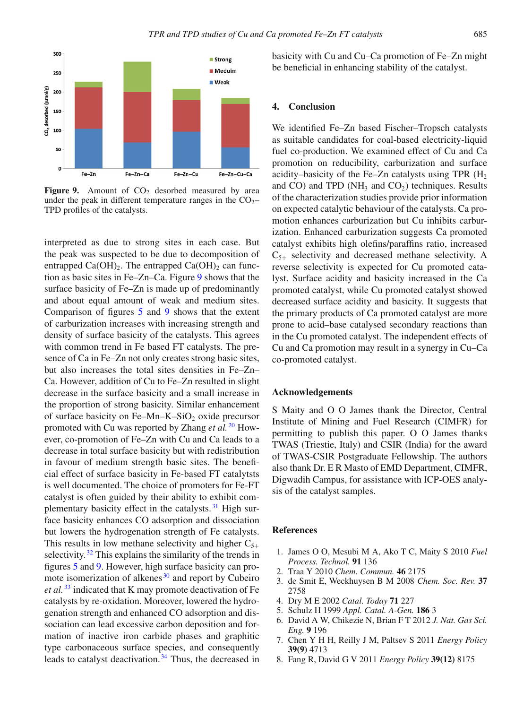<span id="page-6-7"></span>

**Figure 9.** Amount of  $CO<sub>2</sub>$  desorbed measured by area under the peak in different temperature ranges in the  $CO<sub>2</sub>$ TPD profiles of the catalysts.

interpreted as due to strong sites in each case. But the peak was suspected to be due to decomposition of entrapped  $Ca(OH)_2$ . The entrapped  $Ca(OH)_2$  can function as basic sites in Fe–Zn–Ca. Figure [9](#page-6-7) shows that the surface basicity of Fe–Zn is made up of predominantly and about equal amount of weak and medium sites. Comparison of figures [5](#page-4-1) and [9](#page-6-7) shows that the extent of carburization increases with increasing strength and density of surface basicity of the catalysts. This agrees with common trend in Fe based FT catalysts. The presence of Ca in Fe–Zn not only creates strong basic sites, but also increases the total sites densities in Fe–Zn– Ca. However, addition of Cu to Fe–Zn resulted in slight decrease in the surface basicity and a small increase in the proportion of strong basicity. Similar enhancement of surface basicity on Fe–Mn–K–SiO<sub>2</sub> oxide precursor promoted with Cu was reported by Zhang *et al.* [20](#page-7-9) However, co-promotion of Fe–Zn with Cu and Ca leads to a decrease in total surface basicity but with redistribution in favour of medium strength basic sites. The beneficial effect of surface basicity in Fe-based FT catalytsts is well documented. The choice of promoters for Fe-FT catalyst is often guided by their ability to exhibit com-plementary basicity effect in the catalysts.<sup>[31](#page-7-20)</sup> High surface basicity enhances CO adsorption and dissociation but lowers the hydrogenation strength of Fe catalysts. This results in low methane selectivity and higher  $C_{5+}$ selectivity.<sup>[32](#page-7-21)</sup> This explains the similarity of the trends in figures [5](#page-4-1) and [9.](#page-6-7) However, high surface basicity can promote isomerization of alkenes $30$  and report by Cubeiro *et al.* [33](#page-7-22) indicated that K may promote deactivation of Fe catalysts by re-oxidation. Moreover, lowered the hydrogenation strength and enhanced CO adsorption and dissociation can lead excessive carbon deposition and formation of inactive iron carbide phases and graphitic type carbonaceous surface species, and consequently leads to catalyst deactivation. [34](#page-7-23) Thus, the decreased in basicity with Cu and Cu–Ca promotion of Fe–Zn might be beneficial in enhancing stability of the catalyst.

# **4. Conclusion**

We identified Fe–Zn based Fischer–Tropsch catalysts as suitable candidates for coal-based electricity-liquid fuel co-production. We examined effect of Cu and Ca promotion on reducibility, carburization and surface acidity–basicity of the Fe–Zn catalysts using TPR  $(H_2)$ and CO) and TPD ( $NH_3$  and CO<sub>2</sub>) techniques. Results of the characterization studies provide prior information on expected catalytic behaviour of the catalysts. Ca promotion enhances carburization but Cu inhibits carburization. Enhanced carburization suggests Ca promoted catalyst exhibits high olefins/paraffins ratio, increased  $C_{5+}$  selectivity and decreased methane selectivity. A reverse selectivity is expected for Cu promoted catalyst. Surface acidity and basicity increased in the Ca promoted catalyst, while Cu promoted catalyst showed decreased surface acidity and basicity. It suggests that the primary products of Ca promoted catalyst are more prone to acid–base catalysed secondary reactions than in the Cu promoted catalyst. The independent effects of Cu and Ca promotion may result in a synergy in Cu–Ca co-promoted catalyst.

### **Acknowledgements**

S Maity and O O James thank the Director, Central Institute of Mining and Fuel Research (CIMFR) for permitting to publish this paper. O O James thanks TWAS (Triestie, Italy) and CSIR (India) for the award of TWAS-CSIR Postgraduate Fellowship. The authors also thank Dr. E R Masto of EMD Department, CIMFR, Digwadih Campus, for assistance with ICP-OES analysis of the catalyst samples.

#### **References**

- <span id="page-6-0"></span>1. James O O, Mesubi M A, Ako T C, Maity S 2010 *Fuel Process. Technol.* **91** 136
- 2. Traa Y 2010 *Chem. Commun.* **46** 2175
- <span id="page-6-1"></span>3. de Smit E, Weckhuysen B M 2008 *Chem. Soc. Rev.* **37** 2758
- <span id="page-6-2"></span>4. Dry M E 2002 *Catal. Today* **71** 227
- <span id="page-6-3"></span>5. Schulz H 1999 *Appl. Catal. A-Gen.* **186** 3
- <span id="page-6-4"></span>6. David A W, Chikezie N, Brian F T 2012 *J. Nat. Gas Sci. Eng.* **9** 196
- <span id="page-6-5"></span>7. Chen Y H H, Reilly J M, Paltsev S 2011 *Energy Policy* **39(9)** 4713
- <span id="page-6-6"></span>8. Fang R, David G V 2011 *Energy Policy* **39(12)** 8175